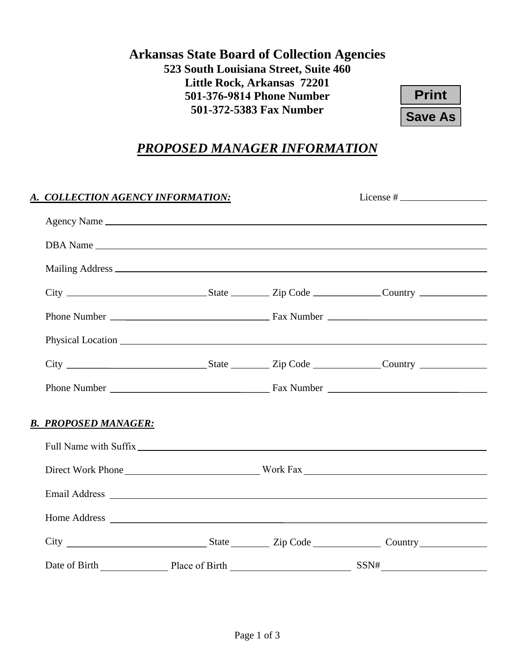## **Arkansas State Board of Collection Agencies 523 South Louisiana Street, Suite 460 Little Rock, Arkansas 72201 501-376-9814 Phone Number 501-372-5383 Fax Number**

| Print     |  |  |  |
|-----------|--|--|--|
| Save As I |  |  |  |

# *PROPOSED MANAGER INFORMATION*

| A. COLLECTION AGENCY INFORMATION:                                                                                                                                                                                              |  |  |  |  |
|--------------------------------------------------------------------------------------------------------------------------------------------------------------------------------------------------------------------------------|--|--|--|--|
|                                                                                                                                                                                                                                |  |  |  |  |
|                                                                                                                                                                                                                                |  |  |  |  |
|                                                                                                                                                                                                                                |  |  |  |  |
|                                                                                                                                                                                                                                |  |  |  |  |
|                                                                                                                                                                                                                                |  |  |  |  |
|                                                                                                                                                                                                                                |  |  |  |  |
|                                                                                                                                                                                                                                |  |  |  |  |
|                                                                                                                                                                                                                                |  |  |  |  |
| <b>B. PROPOSED MANAGER:</b>                                                                                                                                                                                                    |  |  |  |  |
| Full Name with Suffix League and the set of the set of the set of the set of the set of the set of the set of the set of the set of the set of the set of the set of the set of the set of the set of the set of the set of th |  |  |  |  |
|                                                                                                                                                                                                                                |  |  |  |  |
|                                                                                                                                                                                                                                |  |  |  |  |
|                                                                                                                                                                                                                                |  |  |  |  |
|                                                                                                                                                                                                                                |  |  |  |  |
| Date of Birth Place of Birth Place of Birth Place of Birth Place of Birth Place of Birth Place of Birth Place of Birth Place of Birth Place of Birth Place of Birth Place of Birth Place of Birth Place of Birth Place of Birt |  |  |  |  |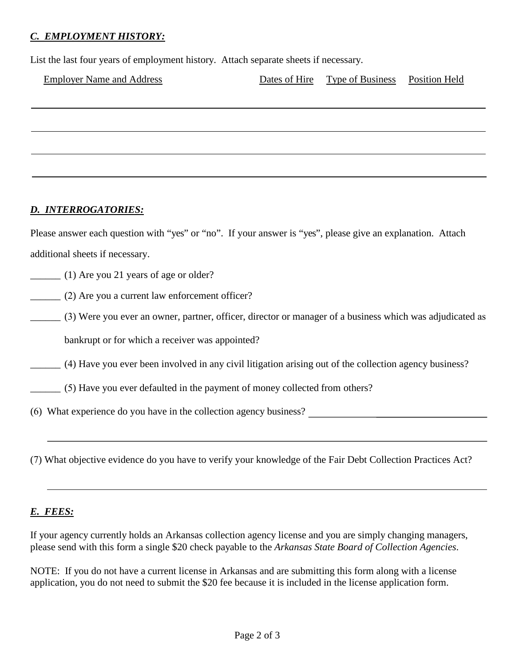#### *C. EMPLOYMENT HISTORY:*

List the last four years of employment history. Attach separate sheets if necessary.

| <b>Employer Name and Address</b> | Dates of Hire Type of Business Position Held |  |
|----------------------------------|----------------------------------------------|--|
|                                  |                                              |  |
|                                  |                                              |  |
|                                  |                                              |  |
|                                  |                                              |  |
|                                  |                                              |  |
|                                  |                                              |  |
| <u>D. INTERROGATORIES:</u>       |                                              |  |
|                                  |                                              |  |

Please answer each question with "yes" or "no". If your answer is "yes", please give an explanation. Attach additional sheets if necessary.

\_\_\_\_\_\_ (1) Are you 21 years of age or older?

\_\_\_\_\_\_ (2) Are you a current law enforcement officer?

\_\_\_\_\_\_ (3) Were you ever an owner, partner, officer, director or manager of a business which was adjudicated as bankrupt or for which a receiver was appointed?

\_\_\_\_\_\_ (4) Have you ever been involved in any civil litigation arising out of the collection agency business?

\_\_\_\_\_\_ (5) Have you ever defaulted in the payment of money collected from others?

(6) What experience do you have in the collection agency business?

(7) What objective evidence do you have to verify your knowledge of the Fair Debt Collection Practices Act?

#### *E. FEES:*

If your agency currently holds an Arkansas collection agency license and you are simply changing managers, please send with this form a single \$20 check payable to the *Arkansas State Board of Collection Agencies*.

NOTE: If you do not have a current license in Arkansas and are submitting this form along with a license application, you do not need to submit the \$20 fee because it is included in the license application form.